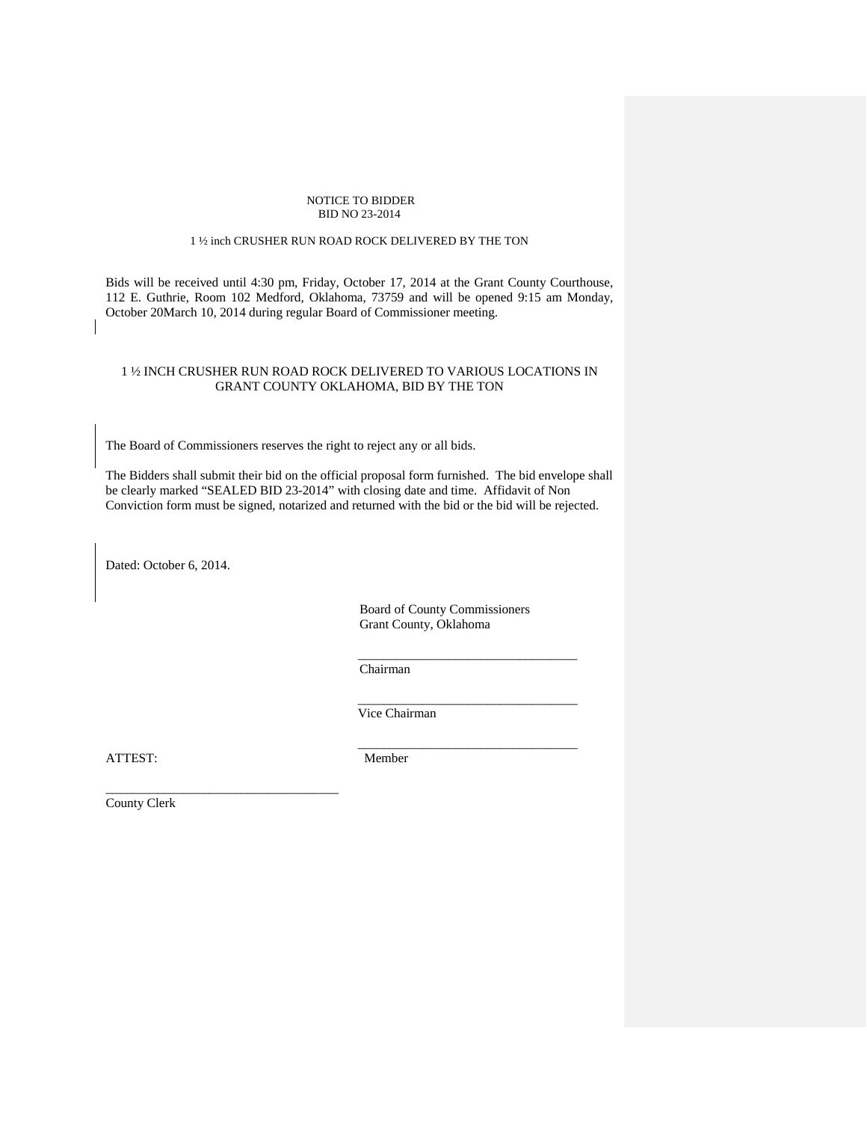#### NOTICE TO BIDDER BID NO 23-2014

#### 1 ½ inch CRUSHER RUN ROAD ROCK DELIVERED BY THE TON

Bids will be received until 4:30 pm, Friday, October 17, 2014 at the Grant County Courthouse, 112 E. Guthrie, Room 102 Medford, Oklahoma, 73759 and will be opened 9:15 am Monday, October 20March 10, 2014 during regular Board of Commissioner meeting.

### 1 ½ INCH CRUSHER RUN ROAD ROCK DELIVERED TO VARIOUS LOCATIONS IN GRANT COUNTY OKLAHOMA, BID BY THE TON

The Board of Commissioners reserves the right to reject any or all bids.

The Bidders shall submit their bid on the official proposal form furnished. The bid envelope shall be clearly marked "SEALED BID 23-2014" with closing date and time. Affidavit of Non Conviction form must be signed, notarized and returned with the bid or the bid will be rejected.

Dated: October 6, 2014.

 $\mathsf{I}$ 

Board of County Commissioners Grant County, Oklahoma

Chairman

 $\frac{1}{2}$  ,  $\frac{1}{2}$  ,  $\frac{1}{2}$  ,  $\frac{1}{2}$  ,  $\frac{1}{2}$  ,  $\frac{1}{2}$  ,  $\frac{1}{2}$  ,  $\frac{1}{2}$  ,  $\frac{1}{2}$  ,  $\frac{1}{2}$  ,  $\frac{1}{2}$  ,  $\frac{1}{2}$  ,  $\frac{1}{2}$  ,  $\frac{1}{2}$  ,  $\frac{1}{2}$  ,  $\frac{1}{2}$  ,  $\frac{1}{2}$  ,  $\frac{1}{2}$  ,  $\frac{1$ 

 $\overline{\phantom{a}}$  ,  $\overline{\phantom{a}}$  ,  $\overline{\phantom{a}}$  ,  $\overline{\phantom{a}}$  ,  $\overline{\phantom{a}}$  ,  $\overline{\phantom{a}}$  ,  $\overline{\phantom{a}}$  ,  $\overline{\phantom{a}}$  ,  $\overline{\phantom{a}}$  ,  $\overline{\phantom{a}}$  ,  $\overline{\phantom{a}}$  ,  $\overline{\phantom{a}}$  ,  $\overline{\phantom{a}}$  ,  $\overline{\phantom{a}}$  ,  $\overline{\phantom{a}}$  ,  $\overline{\phantom{a}}$ 

Vice Chairman

ATTEST: Member

 $\mathcal{L}_\mathcal{L}$  , which is a set of the set of the set of the set of the set of the set of the set of the set of the set of the set of the set of the set of the set of the set of the set of the set of the set of the set of

County Clerk

\_\_\_\_\_\_\_\_\_\_\_\_\_\_\_\_\_\_\_\_\_\_\_\_\_\_\_\_\_\_\_\_\_\_\_\_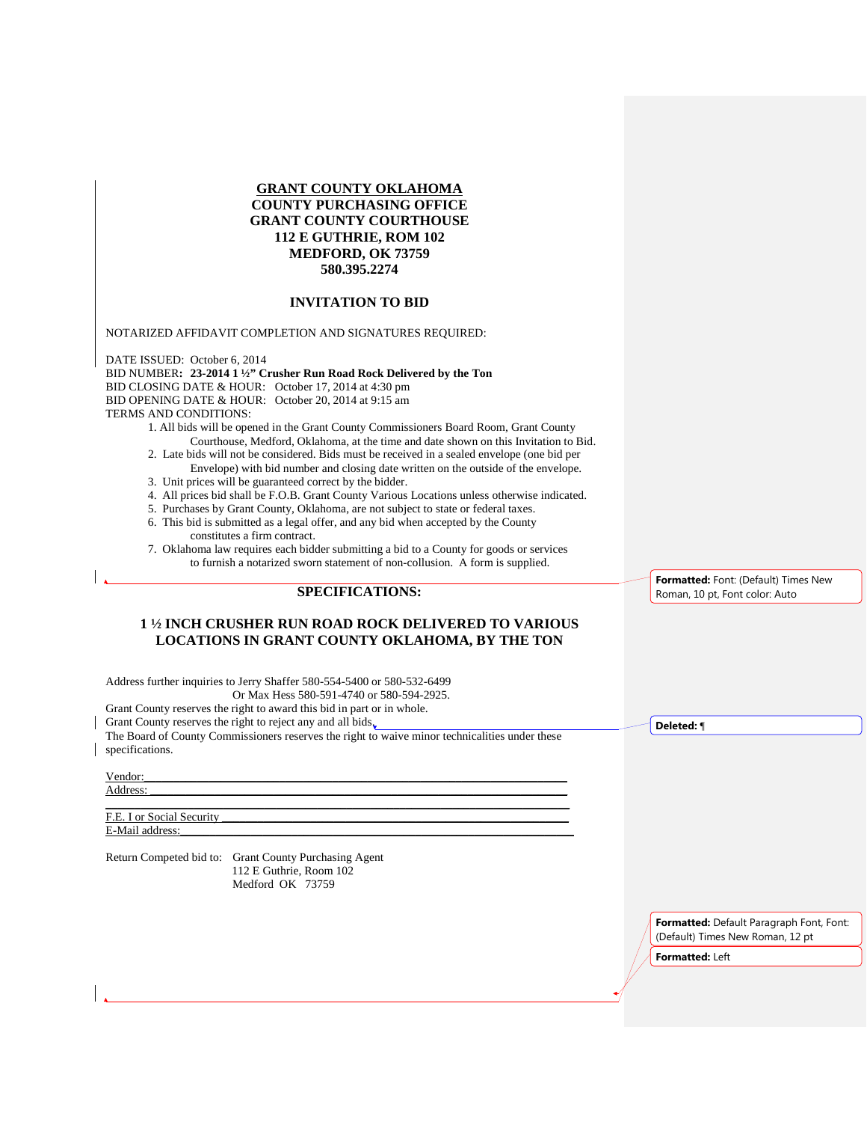## **GRANT COUNTY OKLAHOMA COUNTY PURCHASING OFFICE GRANT COUNTY COURTHOUSE 112 E GUTHRIE, ROM 102 MEDFORD, OK 73759 580.395.2274**

#### **INVITATION TO BID**

NOTARIZED AFFIDAVIT COMPLETION AND SIGNATURES REQUIRED:

DATE ISSUED: October 6, 2014 BID NUMBER**: 23-2014 1 ½" Crusher Run Road Rock Delivered by the Ton**  BID CLOSING DATE & HOUR: October 17, 2014 at 4:30 pm BID OPENING DATE & HOUR: October 20, 2014 at 9:15 am TERMS AND CONDITIONS:

- 1. All bids will be opened in the Grant County Commissioners Board Room, Grant County Courthouse, Medford, Oklahoma, at the time and date shown on this Invitation to Bid.
- 2. Late bids will not be considered. Bids must be received in a sealed envelope (one bid per Envelope) with bid number and closing date written on the outside of the envelope.
- 3. Unit prices will be guaranteed correct by the bidder.
- 4. All prices bid shall be F.O.B. Grant County Various Locations unless otherwise indicated.
- 5. Purchases by Grant County, Oklahoma, are not subject to state or federal taxes.
- 6. This bid is submitted as a legal offer, and any bid when accepted by the County constitutes a firm contract.
- 7. Oklahoma law requires each bidder submitting a bid to a County for goods or services to furnish a notarized sworn statement of non-collusion. A form is supplied.

# **SPECIFICATIONS:**

#### **1 ½ INCH CRUSHER RUN ROAD ROCK DELIVERED TO VARIOUS LOCATIONS IN GRANT COUNTY OKLAHOMA, BY THE TON**

Address further inquiries to Jerry Shaffer 580-554-5400 or 580-532-6499

Or Max Hess 580-591-4740 or 580-594-2925.

Grant County reserves the right to award this bid in part or in whole.

Grant County reserves the right to reject any and all bids.

The Board of County Commissioners reserves the right to waive minor technicalities under these specifications.

\_\_\_\_\_\_\_\_\_\_\_\_\_\_\_\_\_\_\_\_\_\_\_\_\_\_\_\_\_\_\_\_\_\_\_\_\_\_\_\_\_\_\_\_\_\_\_\_\_\_\_\_\_\_\_\_\_\_\_\_\_\_\_\_\_\_\_\_\_\_\_\_\_\_\_\_\_\_\_

#### Vendor:\_\_\_\_\_\_\_\_\_\_\_\_\_\_\_\_\_\_\_\_\_\_\_\_\_\_\_\_\_\_\_\_\_\_\_\_\_\_\_\_\_\_\_\_\_\_\_\_\_\_\_\_\_\_\_\_\_\_\_\_\_\_\_\_\_\_\_\_\_\_\_\_

Address: \_\_\_\_\_\_\_\_\_\_\_\_\_\_\_\_\_\_\_\_\_\_\_\_\_\_\_\_\_\_\_\_\_\_\_\_\_\_\_\_\_\_\_\_\_\_\_\_\_\_\_\_\_\_\_\_\_\_\_\_\_\_\_\_\_\_\_\_\_\_\_

F.E. I or Social Security E-Mail address:

Return Competed bid to: Grant County Purchasing Agent 112 E Guthrie, Room 102 Medford OK 73759

**Formatted:** Font: (Default) Times New Roman, 10 pt, Font color: Auto

**Deleted:** ¶

**Formatted:** Default Paragraph Font, Font: (Default) Times New Roman, 12 pt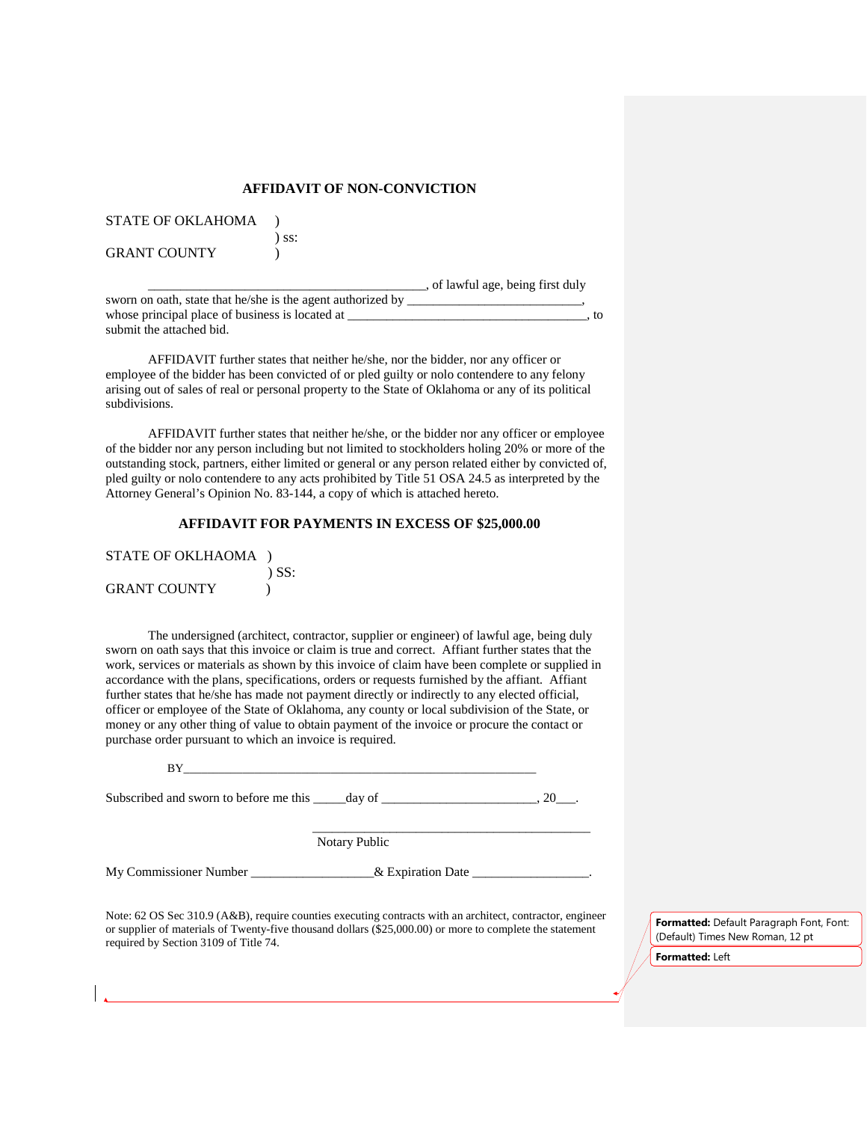#### **AFFIDAVIT OF NON-CONVICTION**

| <b>STATE OF OKLAHOMA</b> |  |
|--------------------------|--|
|                          |  |

GRANT COUNTY (1997)

) ss:

\_\_\_\_\_\_\_\_\_\_\_\_\_\_\_\_\_\_\_\_\_\_\_\_\_\_\_\_\_\_\_\_\_\_\_\_\_\_\_\_\_\_\_, of lawful age, being first duly

| sworn on oath, state that he/she is the agent authorized by |  |      |
|-------------------------------------------------------------|--|------|
| whose principal place of business is located at             |  | . to |
| submit the attached bid.                                    |  |      |

AFFIDAVIT further states that neither he/she, nor the bidder, nor any officer or employee of the bidder has been convicted of or pled guilty or nolo contendere to any felony arising out of sales of real or personal property to the State of Oklahoma or any of its political subdivisions.

AFFIDAVIT further states that neither he/she, or the bidder nor any officer or employee of the bidder nor any person including but not limited to stockholders holing 20% or more of the outstanding stock, partners, either limited or general or any person related either by convicted of, pled guilty or nolo contendere to any acts prohibited by Title 51 OSA 24.5 as interpreted by the Attorney General's Opinion No. 83-144, a copy of which is attached hereto.

### **AFFIDAVIT FOR PAYMENTS IN EXCESS OF \$25,000.00**

| STATE OF OKLHAOMA   |            |
|---------------------|------------|
|                     | $\sum$ SS: |
| <b>GRANT COUNTY</b> |            |

The undersigned (architect, contractor, supplier or engineer) of lawful age, being duly sworn on oath says that this invoice or claim is true and correct. Affiant further states that the work, services or materials as shown by this invoice of claim have been complete or supplied in accordance with the plans, specifications, orders or requests furnished by the affiant. Affiant further states that he/she has made not payment directly or indirectly to any elected official, officer or employee of the State of Oklahoma, any county or local subdivision of the State, or money or any other thing of value to obtain payment of the invoice or procure the contact or purchase order pursuant to which an invoice is required.

Subscribed and sworn to before me this  $\_\_\_\_\_\_\_\_\_\_$  day of  $\_\_\_\_\_\_\_\_\_\_$ . 20 $\_\_\_\_\_\_\_$ .

 $\mathcal{L}_\mathcal{L}$  , which is a set of the set of the set of the set of the set of the set of the set of the set of the set of the set of the set of the set of the set of the set of the set of the set of the set of the set of Notary Public

My Commissioner Number \_\_\_\_\_\_\_\_\_\_\_\_\_\_\_\_\_\_& Expiration Date \_\_\_\_\_\_\_\_\_\_\_\_\_\_\_\_.

Note: 62 OS Sec 310.9 (A&B), require counties executing contracts with an architect, contractor, engineer or supplier of materials of Twenty-five thousand dollars (\$25,000.00) or more to complete the statement required by Section 3109 of Title 74.

**Formatted:** Default Paragraph Font, Font: (Default) Times New Roman, 12 pt **Formatted:** Left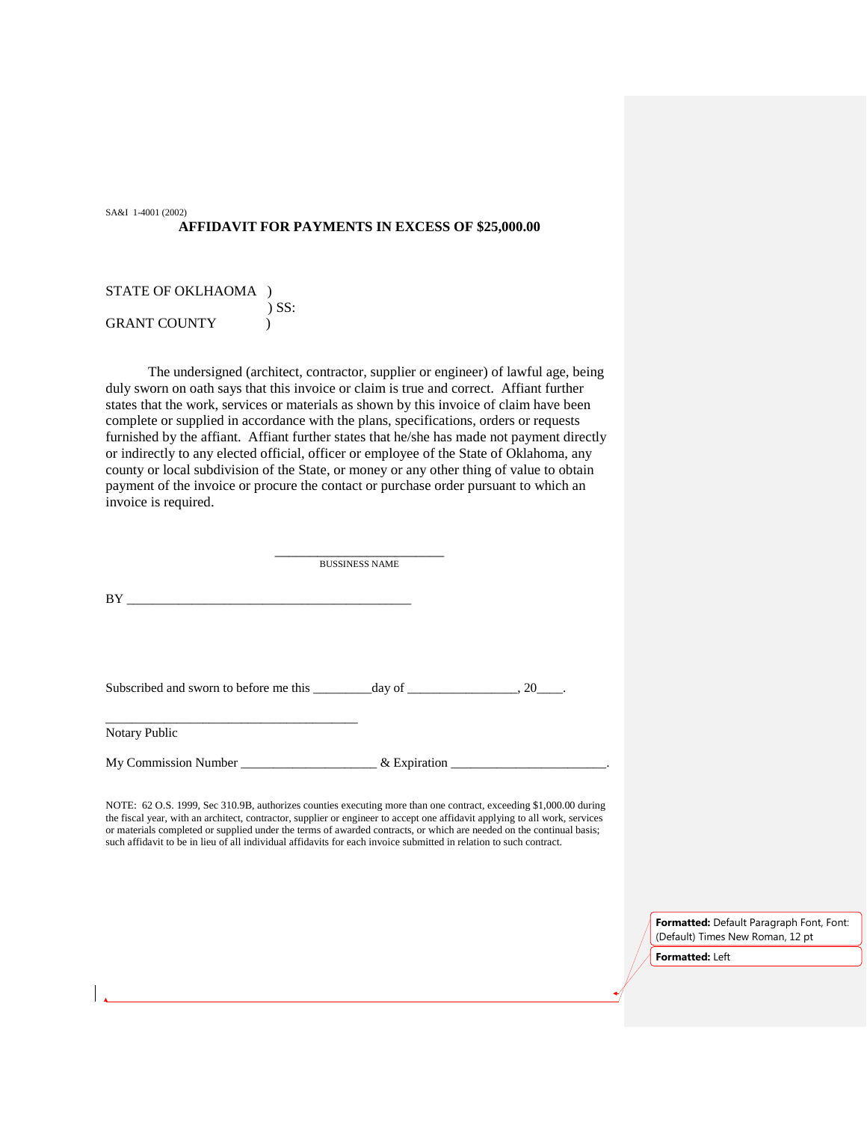SA&I 1-4001 (2002) **AFFIDAVIT FOR PAYMENTS IN EXCESS OF \$25,000.00**

STATE OF OKLHAOMA ) ) SS: GRANT COUNTY  $\qquad$  )

The undersigned (architect, contractor, supplier or engineer) of lawful age, being duly sworn on oath says that this invoice or claim is true and correct. Affiant further states that the work, services or materials as shown by this invoice of claim have been complete or supplied in accordance with the plans, specifications, orders or requests furnished by the affiant. Affiant further states that he/she has made not payment directly or indirectly to any elected official, officer or employee of the State of Oklahoma, any county or local subdivision of the State, or money or any other thing of value to obtain payment of the invoice or procure the contact or purchase order pursuant to which an invoice is required.

\_\_\_\_\_\_\_\_\_\_\_\_\_\_\_\_\_\_\_\_\_\_\_\_ BUSSINESS NAME BY \_\_\_\_\_\_\_\_\_\_\_\_\_\_\_\_\_\_\_\_\_\_\_\_\_\_\_\_\_\_\_\_\_\_\_\_\_\_\_\_\_\_\_\_ Subscribed and sworn to before me this  $\_\_\_\_\_\_\_\_\$  day of  $\_\_\_\_\_\_\_\_$ ,  $20\_\_\_\_\.\$ \_\_\_\_\_\_\_\_\_\_\_\_\_\_\_\_\_\_\_\_\_\_\_\_\_\_\_\_\_\_\_\_\_\_\_\_\_\_\_ Notary Public My Commission Number \_\_\_\_\_\_\_\_\_\_\_\_\_\_\_\_\_\_\_\_\_\_\_\_\_\_\_& Expiration \_\_\_\_\_\_\_\_\_\_\_\_\_\_\_\_\_\_\_

NOTE: 62 O.S. 1999, Sec 310.9B, authorizes counties executing more than one contract, exceeding \$1,000.00 during the fiscal year, with an architect, contractor, supplier or engineer to accept one affidavit applying to all work, services or materials completed or supplied under the terms of awarded contracts, or which are needed on the continual basis; such affidavit to be in lieu of all individual affidavits for each invoice submitted in relation to such contract.

> **Formatted:** Default Paragraph Font, Font: (Default) Times New Roman, 12 pt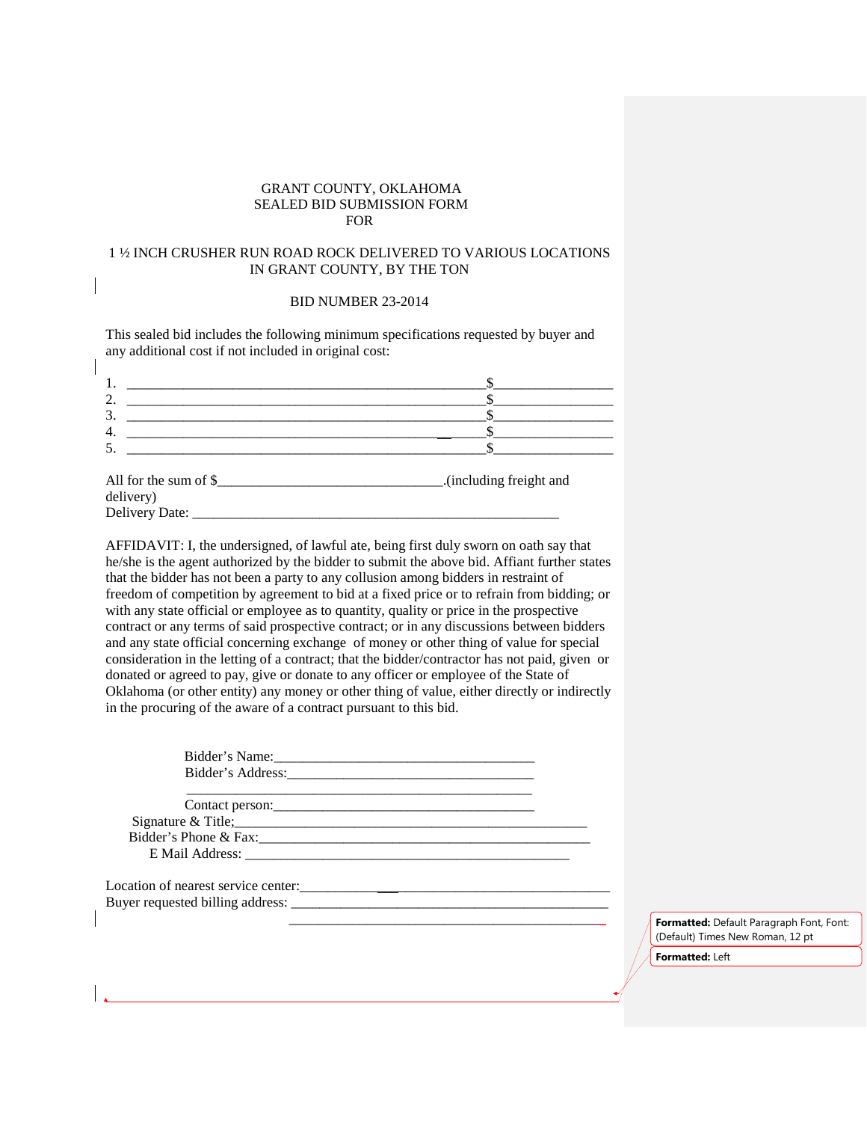## GRANT COUNTY, OKLAHOMA SEALED BID SUBMISSION FORM FOR

## 1 ½ INCH CRUSHER RUN ROAD ROCK DELIVERED TO VARIOUS LOCATIONS IN GRANT COUNTY, BY THE TON

#### BID NUMBER 23-2014

This sealed bid includes the following minimum specifications requested by buyer and any additional cost if not included in original cost:

 $\mathsf{l}$ 

| All for the sum of \$<br>delivery) | .(including freight and |
|------------------------------------|-------------------------|

Delivery Date: \_\_\_\_\_\_\_\_\_\_\_\_\_\_\_\_\_\_\_\_\_\_\_\_\_\_\_\_\_\_\_\_\_\_\_\_\_\_\_\_\_\_\_\_\_\_\_\_\_\_\_\_

| AFFIDAVIT: I, the undersigned, of lawful ate, being first duly sworn on oath say that         |
|-----------------------------------------------------------------------------------------------|
| he/she is the agent authorized by the bidder to submit the above bid. Affiant further states  |
| that the bidder has not been a party to any collusion among bidders in restraint of           |
| freedom of competition by agreement to bid at a fixed price or to refrain from bidding; or    |
| with any state official or employee as to quantity, quality or price in the prospective       |
| contract or any terms of said prospective contract; or in any discussions between bidders     |
| and any state official concerning exchange of money or other thing of value for special       |
| consideration in the letting of a contract; that the bidder/contractor has not paid, given or |
| donated or agreed to pay, give or donate to any officer or employee of the State of           |
| Oklahoma (or other entity) any money or other thing of value, either directly or indirectly   |
| in the procuring of the aware of a contract pursuant to this bid.                             |

| Contact person:                     |  |
|-------------------------------------|--|
|                                     |  |
|                                     |  |
|                                     |  |
| Location of nearest service center: |  |
|                                     |  |
|                                     |  |
|                                     |  |
|                                     |  |

 \_\_\_\_\_\_\_\_\_\_\_\_\_\_\_\_\_\_\_\_\_\_\_\_\_\_\_\_\_\_\_\_\_\_\_\_\_\_\_\_\_\_\_\_\_ **Formatted:** Default Paragraph Font, Font: (Default) Times New Roman, 12 pt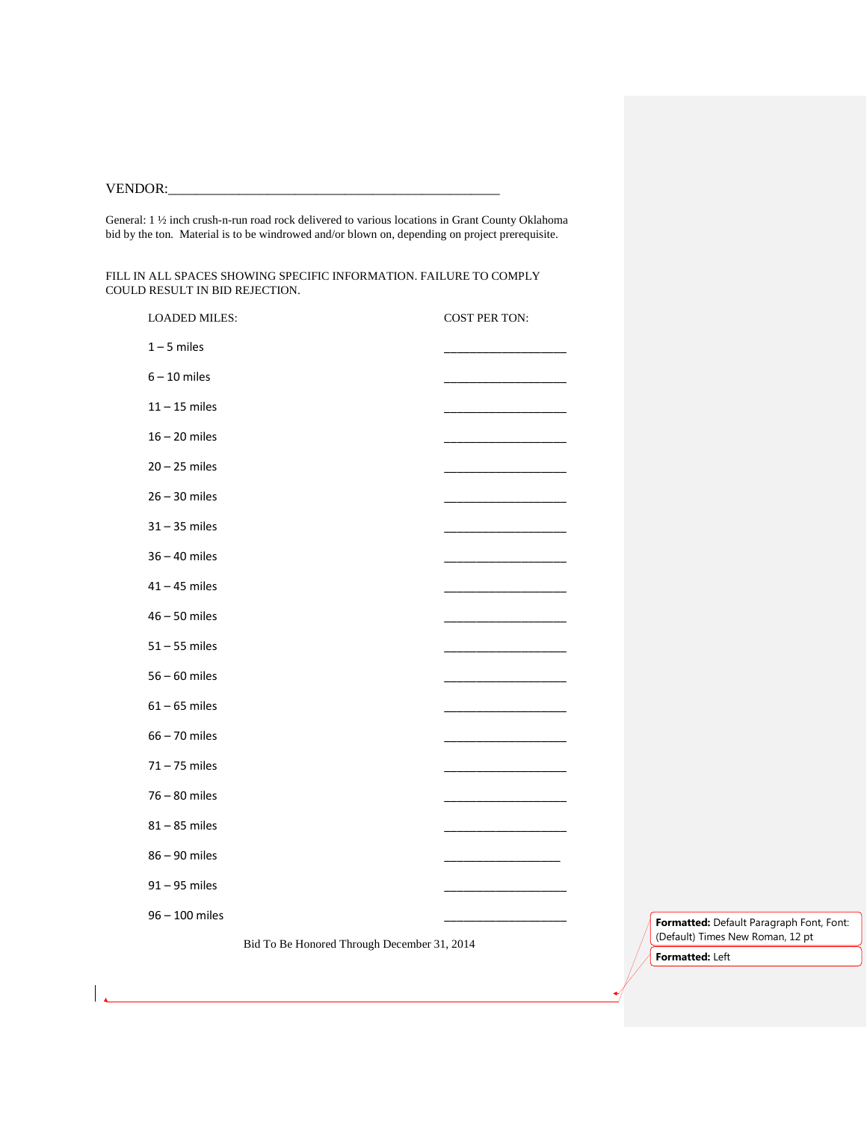# VENDOR:\_\_\_\_\_\_\_\_\_\_\_\_\_\_\_\_\_\_\_\_\_\_\_\_\_\_\_\_\_\_\_\_\_\_\_\_\_\_\_\_\_\_\_\_\_\_\_

General: 1 ½ inch crush-n-run road rock delivered to various locations in Grant County Oklahoma bid by the ton. Material is to be windrowed and/or blown on, depending on project prerequisite.

FILL IN ALL SPACES SHOWING SPECIFIC INFORMATION. FAILURE TO COMPLY COULD RESULT IN BID REJECTION.

| <b>LOADED MILES:</b> |                                             | <b>COST PER TON:</b> |
|----------------------|---------------------------------------------|----------------------|
| $1 - 5$ miles        |                                             |                      |
| $6 - 10$ miles       |                                             |                      |
| $11 - 15$ miles      |                                             |                      |
| $16 - 20$ miles      |                                             |                      |
| $20 - 25$ miles      |                                             |                      |
| $26 - 30$ miles      |                                             |                      |
| $31 - 35$ miles      |                                             |                      |
| $36 - 40$ miles      |                                             |                      |
| $41 - 45$ miles      |                                             |                      |
| $46 - 50$ miles      |                                             |                      |
| $51 - 55$ miles      |                                             |                      |
| $56 - 60$ miles      |                                             |                      |
| $61 - 65$ miles      |                                             |                      |
| $66 - 70$ miles      |                                             |                      |
| $71 - 75$ miles      |                                             |                      |
| $76 - 80$ miles      |                                             |                      |
| $81 - 85$ miles      |                                             |                      |
| 86-90 miles          |                                             |                      |
| $91 - 95$ miles      |                                             |                      |
| 96 - 100 miles       |                                             |                      |
|                      | Bid To Be Honored Through December 31, 2014 |                      |

**Formatted:** Default Paragraph Font, Font: (Default) Times New Roman, 12 pt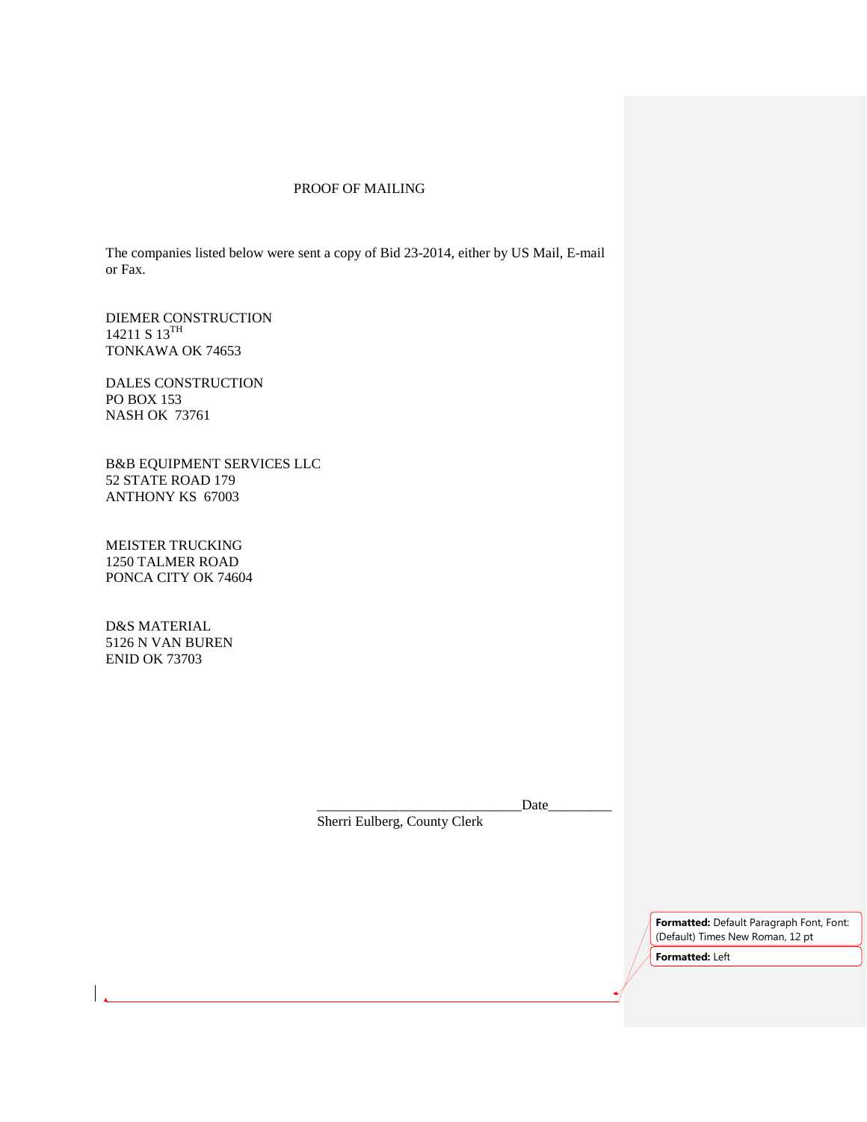# PROOF OF MAILING

The companies listed below were sent a copy of Bid 23-2014, either by US Mail, E-mail or Fax.

DIEMER CONSTRUCTION 14211 S 13<sup>TH</sup> TONKAWA OK 74653

DALES CONSTRUCTION PO BOX 153 NASH OK 73761

B&B EQUIPMENT SERVICES LLC 52 STATE ROAD 179 ANTHONY KS 67003

MEISTER TRUCKING 1250 TALMER ROAD PONCA CITY OK 74604

D&S MATERIAL 5126 N VAN BUREN ENID OK 73703

Date

Sherri Eulberg, County Clerk

**Formatted:** Default Paragraph Font, Font: (Default) Times New Roman, 12 pt